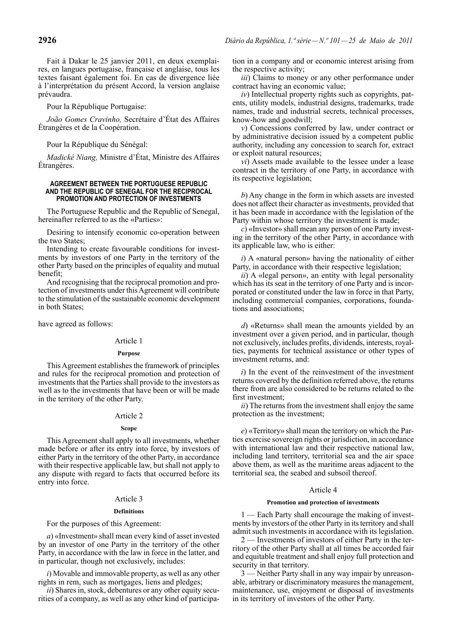Fait à Dakar le 25 janvier 2011, en deux exemplaires, en langues portugaise, française et anglaise, tous les textes faisant également foi. En cas de divergence liée à l'interprétation du présent Accord, la version anglaise prévaudra.

Pour la République Portugaise:

*João Gomes Cravinho,* Secrétaire d'État des Affaires Étrangères et de la Coopération.

Pour la République du Sénégal:

*Madické Niang,* Ministre d'État, Ministre des Affaires Étrangères.

### **AGREEMENT BETWEEN THE PORTUGUESE REPUBLIC AND THE REPUBLIC OF SENEGAL FOR THE RECIPROCAL PROMOTION AND PROTECTION OF INVESTMENTS**

The Portuguese Republic and the Republic of Senegal, hereinafter referred to as the «Parties»:

Desiring to intensify economic co -operation between the two States;

Intending to create favourable conditions for investments by investors of one Party in the territory of the other Party based on the principles of equality and mutual benefit;

And recognising that the reciprocal promotion and protection of investments under this Agreement will contribute to the stimulation of the sustainable economic development in both States;

have agreed as follows:

# Article 1

# **Purpose**

This Agreement establishes the framework of principles and rules for the reciprocal promotion and protection of investments that the Parties shall provide to the investors as well as to the investments that have been or will be made in the territory of the other Party.

### Article 2

### **Scope**

This Agreement shall apply to all investments, whether made before or after its entry into force, by investors of either Party in the territory of the other Party, in accordance with their respective applicable law, but shall not apply to any dispute with regard to facts that occurred before its entry into force.

# Article 3

# **Definitions**

For the purposes of this Agreement:

*a*) «Investment» shall mean every kind of asset invested by an investor of one Party in the territory of the other Party, in accordance with the law in force in the latter, and in particular, though not exclusively, includes:

*i*) Movable and immovable property, as well as any other rights in rem, such as mortgages, liens and pledges;

*ii*) Shares in, stock, debentures or any other equity securities of a company, as well as any other kind of participation in a company and or economic interest arising from the respective activity;

*iii*) Claims to money or any other performance under contract having an economic value;

*iv*) Intellectual property rights such as copyrights, patents, utility models, industrial designs, trademarks, trade names, trade and industrial secrets, technical processes, know -how and goodwill;

*v*) Concessions conferred by law, under contract or by administrative decision issued by a competent public authority, including any concession to search for, extract or exploit natural resources;

*vi*) Assets made available to the lessee under a lease contract in the territory of one Party, in accordance with its respective legislation;

*b*) Any change in the form in which assets are invested does not affect their character as investments, provided that it has been made in accordance with the legislation of the Party within whose territory the investment is made;

*c*) «Investor» shall mean any person of one Party investing in the territory of the other Party, in accordance with its applicable law, who is either:

*i*) A «natural person» having the nationality of either Party, in accordance with their respective legislation;

*ii*) A «legal person», an entity with legal personality which has its seat in the territory of one Party and is incorporated or constituted under the law in force in that Party, including commercial companies, corporations, foundations and associations;

*d*) «Returns» shall mean the amounts yielded by an investment over a given period, and in particular, though not exclusively, includes profits, dividends, interests, royalties, payments for technical assistance or other types of investment returns, and:

*i*) In the event of the reinvestment of the investment returns covered by the definition referred above, the returns there from are also considered to be returns related to the first investment;

*ii*) The returns from the investment shall enjoy the same protection as the investment;

*e*) «Territory» shall mean the territory on which the Parties exercise sovereign rights or jurisdiction, in accordance with international law and their respective national law, including land territory, territorial sea and the air space above them, as well as the maritime areas adjacent to the territorial sea, the seabed and subsoil thereof.

# Article 4

### **Promotion and protection of investments**

1 — Each Party shall encourage the making of investments by investors of the other Party in its territory and shall admit such investments in accordance with its legislation.

2 — Investments of investors of either Party in the territory of the other Party shall at all times be accorded fair and equitable treatment and shall enjoy full protection and security in that territory.

3 — Neither Party shall in any way impair by unreasonable, arbitrary or discriminatory measures the management, maintenance, use, enjoyment or disposal of investments in its territory of investors of the other Party.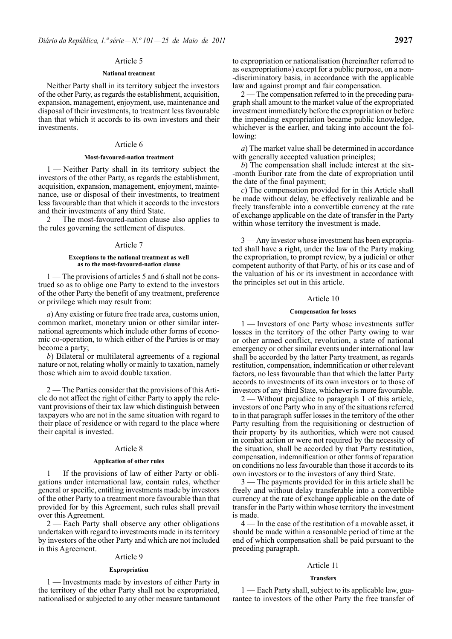# Article 5

### **National treatment**

Neither Party shall in its territory subject the investors of the other Party, as regards the establishment, acquisition, expansion, management, enjoyment, use, maintenance and disposal of their investments, to treatment less favourable than that which it accords to its own investors and their investments.

# Article 6

# **Most -favoured -nation treatment**

1 — Neither Party shall in its territory subject the investors of the other Party, as regards the establishment, acquisition, expansion, management, enjoyment, maintenance, use or disposal of their investments, to treatment less favourable than that which it accords to the investors and their investments of any third State.

2 — The most -favoured -nation clause also applies to the rules governing the settlement of disputes.

### Article 7

#### **Exceptions to the national treatment as well as to the most -favoured -nation clause**

1 — The provisions of articles 5 and 6 shall not be construed so as to oblige one Party to extend to the investors of the other Party the benefit of any treatment, preference or privilege which may result from:

*a*) Any existing or future free trade area, customs union, common market, monetary union or other similar international agreements which include other forms of economic co -operation, to which either of the Parties is or may become a party;

*b*) Bilateral or multilateral agreements of a regional nature or not, relating wholly or mainly to taxation, namely those which aim to avoid double taxation.

2 — The Parties consider that the provisions of this Article do not affect the right of either Party to apply the relevant provisions of their tax law which distinguish between taxpayers who are not in the same situation with regard to their place of residence or with regard to the place where their capital is invested.

#### Article 8

### **Application of other rules**

1 — If the provisions of law of either Party or obligations under international law, contain rules, whether general or specific, entitling investments made by investors of the other Party to a treatment more favourable than that provided for by this Agreement, such rules shall prevail over this Agreement.

2 — Each Party shall observe any other obligations undertaken with regard to investments made in its territory by investors of the other Party and which are not included in this Agreement.

### Article 9

#### **Expropriation**

1 — Investments made by investors of either Party in the territory of the other Party shall not be expropriated, nationalised or subjected to any other measure tantamount to expropriation or nationalisation (hereinafter referred to as «expropriation») except for a public purpose, on a non- -discriminatory basis, in accordance with the applicable law and against prompt and fair compensation.

2 — The compensation referred to in the preceding paragraph shall amount to the market value of the expropriated investment immediately before the expropriation or before the impending expropriation became public knowledge, whichever is the earlier, and taking into account the following:

*a*) The market value shall be determined in accordance with generally accepted valuation principles;

*b*) The compensation shall include interest at the six- -month Euribor rate from the date of expropriation until the date of the final payment;

*c*) The compensation provided for in this Article shall be made without delay, be effectively realizable and be freely transferable into a convertible currency at the rate of exchange applicable on the date of transfer in the Party within whose territory the investment is made.

3 — Any investor whose investment has been expropriated shall have a right, under the law of the Party making the expropriation, to prompt review, by a judicial or other competent authority of that Party, of his or its case and of the valuation of his or its investment in accordance with the principles set out in this article.

#### Article 10

# **Compensation for losses**

1 — Investors of one Party whose investments suffer losses in the territory of the other Party owing to war or other armed conflict, revolution, a state of national emergency or other similar events under international law shall be accorded by the latter Party treatment, as regards restitution, compensation, indemnification or other relevant factors, no less favourable than that which the latter Party accords to investments of its own investors or to those of investors of any third State, whichever is more favourable.

2 — Without prejudice to paragraph 1 of this article, investors of one Party who in any of the situations referred to in that paragraph suffer losses in the territory of the other Party resulting from the requisitioning or destruction of their property by its authorities, which were not caused in combat action or were not required by the necessity of the situation, shall be accorded by that Party restitution, compensation, indemnification or other forms of reparation on conditions no less favourable than those it accords to its own investors or to the investors of any third State.

3 — The payments provided for in this article shall be freely and without delay transferable into a convertible currency at the rate of exchange applicable on the date of transfer in the Party within whose territory the investment is made.

4 — In the case of the restitution of a movable asset, it should be made within a reasonable period of time at the end of which compensation shall be paid pursuant to the preceding paragraph.

### Article 11

### **Transfers**

1 — Each Party shall, subject to its applicable law, guarantee to investors of the other Party the free transfer of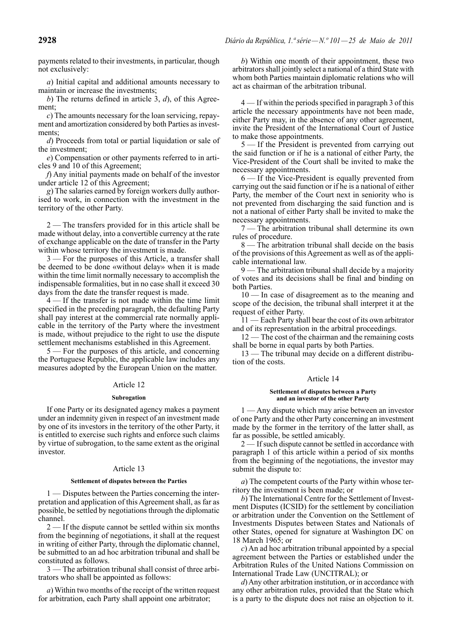payments related to their investments, in particular, though not exclusively:

*a*) Initial capital and additional amounts necessary to maintain or increase the investments;

*b*) The returns defined in article 3, *d*), of this Agreement;

*c*) The amounts necessary for the loan servicing, repayment and amortization considered by both Parties as investments:

*d*) Proceeds from total or partial liquidation or sale of the investment;

*e*) Compensation or other payments referred to in articles 9 and 10 of this Agreement;

*f*) Any initial payments made on behalf of the investor under article 12 of this Agreement;

*g*) The salaries earned by foreign workers dully authorised to work, in connection with the investment in the territory of the other Party.

2— The transfers provided for in this article shall be made without delay, into a convertible currency at the rate of exchange applicable on the date of transfer in the Party within whose territory the investment is made.

3 — For the purposes of this Article, a transfer shall be deemed to be done «without delay» when it is made within the time limit normally necessary to accomplish the indispensable formalities, but in no case shall it exceed 30 days from the date the transfer request is made.

4 — If the transfer is not made within the time limit specified in the preceding paragraph, the defaulting Party shall pay interest at the commercial rate normally applicable in the territory of the Party where the investment is made, without prejudice to the right to use the dispute settlement mechanisms established in this Agreement.

5 — For the purposes of this article, and concerning the Portuguese Republic, the applicable law includes any measures adopted by the European Union on the matter.

# Article 12

### **Subrogation**

If one Party or its designated agency makes a payment under an indemnity given in respect of an investment made by one of its investors in the territory of the other Party, it is entitled to exercise such rights and enforce such claims by virtue of subrogation, to the same extent as the original investor.

# Article 13

#### **Settlement of disputes between the Parties**

- Disputes between the Parties concerning the interpretation and application of this Agreement shall, as far as possible, be settled by negotiations through the diplomatic channel.

2 — If the dispute cannot be settled within six months from the beginning of negotiations, it shall at the request in writing of either Party, through the diplomatic channel, be submitted to an ad hoc arbitration tribunal and shall be constituted as follows.

3 — The arbitration tribunal shall consist of three arbitrators who shall be appointed as follows:

*a*) Within two months of the receipt of the written request for arbitration, each Party shall appoint one arbitrator;

*b*) Within one month of their appointment, these two arbitrators shall jointly select a national of a third State with whom both Parties maintain diplomatic relations who will act as chairman of the arbitration tribunal.

4 — If within the periods specified in paragraph 3 of this article the necessary appointments have not been made, either Party may, in the absence of any other agreement, invite the President of the International Court of Justice to make those appointments.

5 — If the President is prevented from carrying out the said function or if he is a national of either Party, the Vice -President of the Court shall be invited to make the necessary appointments.

6 — If the Vice -President is equally prevented from carrying out the said function or if he is a national of either Party, the member of the Court next in seniority who is not prevented from discharging the said function and is not a national of either Party shall be invited to make the necessary appointments.

7 — The arbitration tribunal shall determine its own rules of procedure.

8 — The arbitration tribunal shall decide on the basis of the provisions of this Agreement as well as of the applicable international law.

9 — The arbitration tribunal shall decide by a majority of votes and its decisions shall be final and binding on both Parties.

10 — In case of disagreement as to the meaning and scope of the decision, the tribunal shall interpret it at the request of either Party.

11 — Each Party shall bear the cost of its own arbitrator and of its representation in the arbitral proceedings.

12 — The cost of the chairman and the remaining costs shall be borne in equal parts by both Parties.

13 — The tribunal may decide on a different distribution of the costs.

# Article 14

#### **Settlement of disputes between a Party and an investor of the other Party**

1 — Any dispute which may arise between an investor of one Party and the other Party concerning an investment made by the former in the territory of the latter shall, as far as possible, be settled amicably.

2 — If such dispute cannot be settled in accordance with paragraph 1 of this article within a period of six months from the beginning of the negotiations, the investor may submit the dispute to:

*a*) The competent courts of the Party within whose territory the investment is been made; or

*b*) The International Centre for the Settlement of Investment Disputes (ICSID) for the settlement by conciliation or arbitration under the Convention on the Settlement of Investments Disputes between States and Nationals of other States, opened for signature at Washington DC on 18 March 1965; or

*c*) An ad hoc arbitration tribunal appointed by a special agreement between the Parties or established under the Arbitration Rules of the United Nations Commission on International Trade Law (UNCITRAL); or

*d*) Any other arbitration institution, or in accordance with any other arbitration rules, provided that the State which is a party to the dispute does not raise an objection to it.